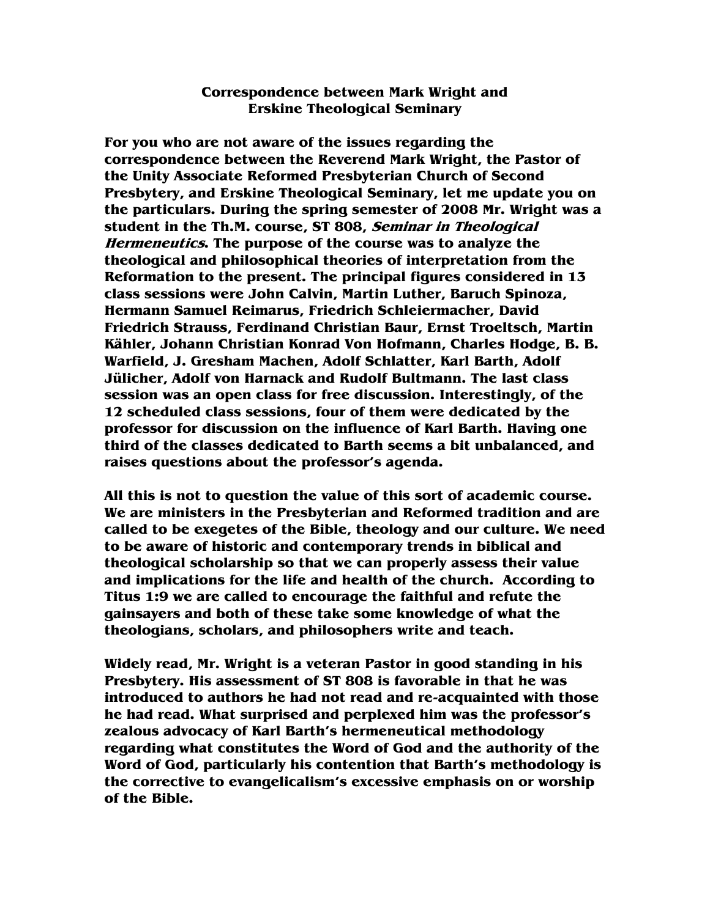## **Correspondence between Mark Wright and Erskine Theological Seminary**

**For you who are not aware of the issues regarding the correspondence between the Reverend Mark Wright, the Pastor of the Unity Associate Reformed Presbyterian Church of Second Presbytery, and Erskine Theological Seminary, let me update you on the particulars. During the spring semester of 2008 Mr. Wright was a student in the Th.M. course, ST 808, Seminar in Theological Hermeneutics. The purpose of the course was to analyze the theological and philosophical theories of interpretation from the Reformation to the present. The principal figures considered in 13 class sessions were John Calvin, Martin Luther, Baruch Spinoza, Hermann Samuel Reimarus, Friedrich Schleiermacher, David Friedrich Strauss, Ferdinand Christian Baur, Ernst Troeltsch, Martin Kähler, Johann Christian Konrad Von Hofmann, Charles Hodge, B. B. Warfield, J. Gresham Machen, Adolf Schlatter, Karl Barth, Adolf Jülicher, Adolf von Harnack and Rudolf Bultmann. The last class session was an open class for free discussion. Interestingly, of the 12 scheduled class sessions, four of them were dedicated by the professor for discussion on the influence of Karl Barth. Having one third of the classes dedicated to Barth seems a bit unbalanced, and raises questions about the professor's agenda.** 

**All this is not to question the value of this sort of academic course. We are ministers in the Presbyterian and Reformed tradition and are called to be exegetes of the Bible, theology and our culture. We need to be aware of historic and contemporary trends in biblical and theological scholarship so that we can properly assess their value and implications for the life and health of the church. According to Titus 1:9 we are called to encourage the faithful and refute the gainsayers and both of these take some knowledge of what the theologians, scholars, and philosophers write and teach.** 

**Widely read, Mr. Wright is a veteran Pastor in good standing in his Presbytery. His assessment of ST 808 is favorable in that he was introduced to authors he had not read and re-acquainted with those he had read. What surprised and perplexed him was the professor's zealous advocacy of Karl Barth's hermeneutical methodology regarding what constitutes the Word of God and the authority of the Word of God, particularly his contention that Barth's methodology is the corrective to evangelicalism's excessive emphasis on or worship of the Bible.**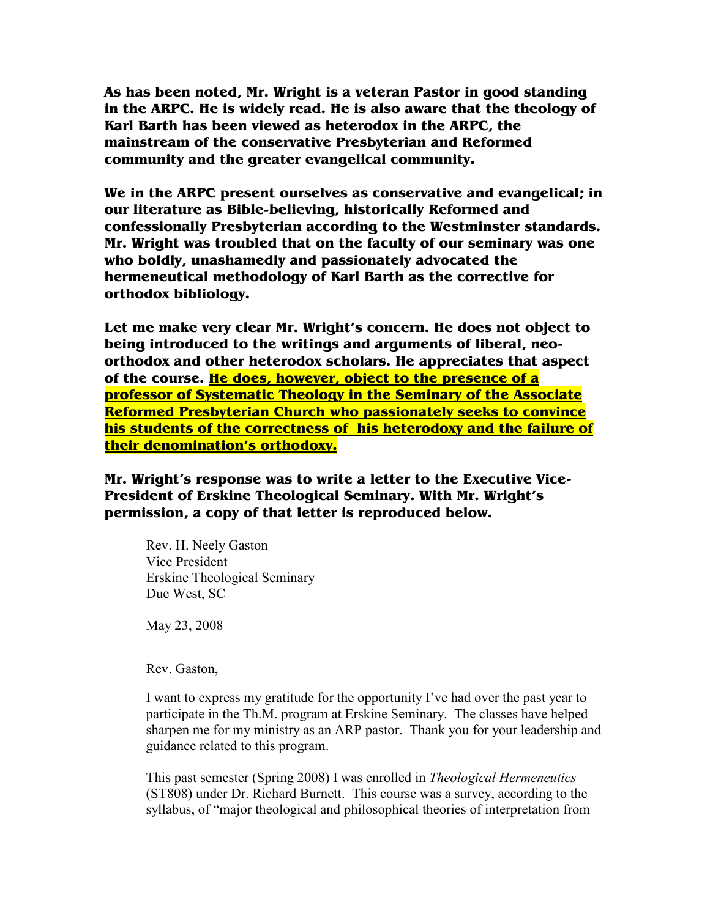**As has been noted, Mr. Wright is a veteran Pastor in good standing in the ARPC. He is widely read. He is also aware that the theology of Karl Barth has been viewed as heterodox in the ARPC, the mainstream of the conservative Presbyterian and Reformed community and the greater evangelical community.** 

**We in the ARPC present ourselves as conservative and evangelical; in our literature as Bible-believing, historically Reformed and confessionally Presbyterian according to the Westminster standards. Mr. Wright was troubled that on the faculty of our seminary was one who boldly, unashamedly and passionately advocated the hermeneutical methodology of Karl Barth as the corrective for orthodox bibliology.** 

**Let me make very clear Mr. Wright's concern. He does not object to being introduced to the writings and arguments of liberal, neoorthodox and other heterodox scholars. He appreciates that aspect of the course. He does, however, object to the presence of a professor of Systematic Theology in the Seminary of the Associate Reformed Presbyterian Church who passionately seeks to convince his students of the correctness of his heterodoxy and the failure of their denomination's orthodoxy.**

**Mr. Wright's response was to write a letter to the Executive Vice-President of Erskine Theological Seminary. With Mr. Wright's permission, a copy of that letter is reproduced below.** 

Rev. H. Neely Gaston Vice President Erskine Theological Seminary Due West, SC

May 23, 2008

Rev. Gaston,

I want to express my gratitude for the opportunity I've had over the past year to participate in the Th.M. program at Erskine Seminary. The classes have helped sharpen me for my ministry as an ARP pastor. Thank you for your leadership and guidance related to this program.

This past semester (Spring 2008) I was enrolled in *Theological Hermeneutics* (ST808) under Dr. Richard Burnett. This course was a survey, according to the syllabus, of "major theological and philosophical theories of interpretation from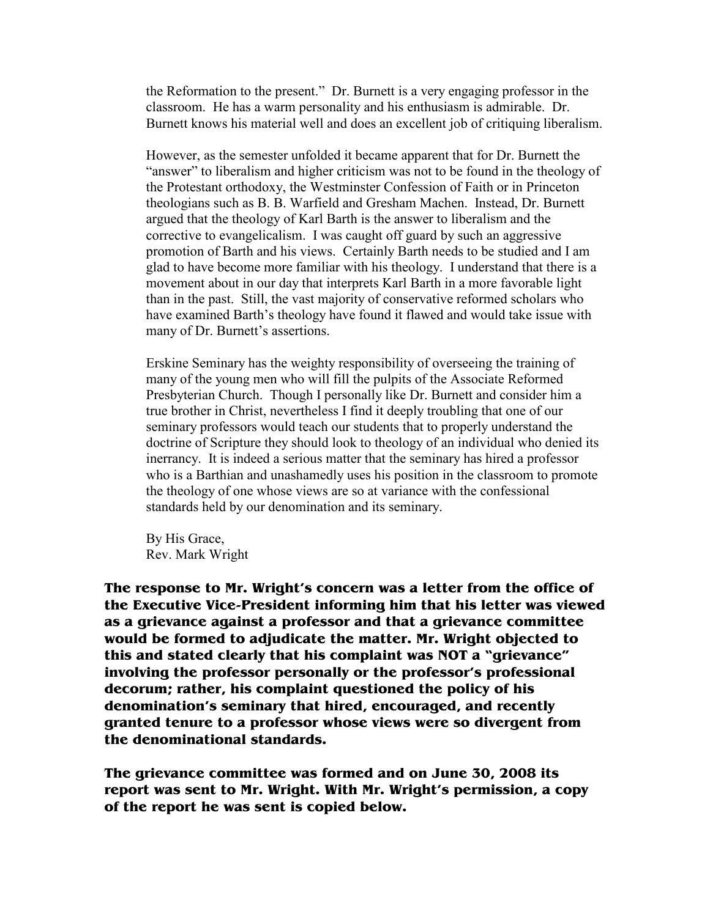the Reformation to the present." Dr. Burnett is a very engaging professor in the classroom. He has a warm personality and his enthusiasm is admirable. Dr. Burnett knows his material well and does an excellent job of critiquing liberalism.

However, as the semester unfolded it became apparent that for Dr. Burnett the "answer" to liberalism and higher criticism was not to be found in the theology of the Protestant orthodoxy, the Westminster Confession of Faith or in Princeton theologians such as B. B. Warfield and Gresham Machen. Instead, Dr. Burnett argued that the theology of Karl Barth is the answer to liberalism and the corrective to evangelicalism. I was caught off guard by such an aggressive promotion of Barth and his views. Certainly Barth needs to be studied and I am glad to have become more familiar with his theology. I understand that there is a movement about in our day that interprets Karl Barth in a more favorable light than in the past. Still, the vast majority of conservative reformed scholars who have examined Barth's theology have found it flawed and would take issue with many of Dr. Burnett's assertions.

Erskine Seminary has the weighty responsibility of overseeing the training of many of the young men who will fill the pulpits of the Associate Reformed Presbyterian Church. Though I personally like Dr. Burnett and consider him a true brother in Christ, nevertheless I find it deeply troubling that one of our seminary professors would teach our students that to properly understand the doctrine of Scripture they should look to theology of an individual who denied its inerrancy. It is indeed a serious matter that the seminary has hired a professor who is a Barthian and unashamedly uses his position in the classroom to promote the theology of one whose views are so at variance with the confessional standards held by our denomination and its seminary.

By His Grace, Rev. Mark Wright

**The response to Mr. Wright's concern was a letter from the office of the Executive Vice-President informing him that his letter was viewed as a grievance against a professor and that a grievance committee would be formed to adjudicate the matter. Mr. Wright objected to this and stated clearly that his complaint was NOT a "grievance" involving the professor personally or the professor's professional decorum; rather, his complaint questioned the policy of his denomination's seminary that hired, encouraged, and recently granted tenure to a professor whose views were so divergent from the denominational standards.** 

**The grievance committee was formed and on June 30, 2008 its report was sent to Mr. Wright. With Mr. Wright's permission, a copy of the report he was sent is copied below.**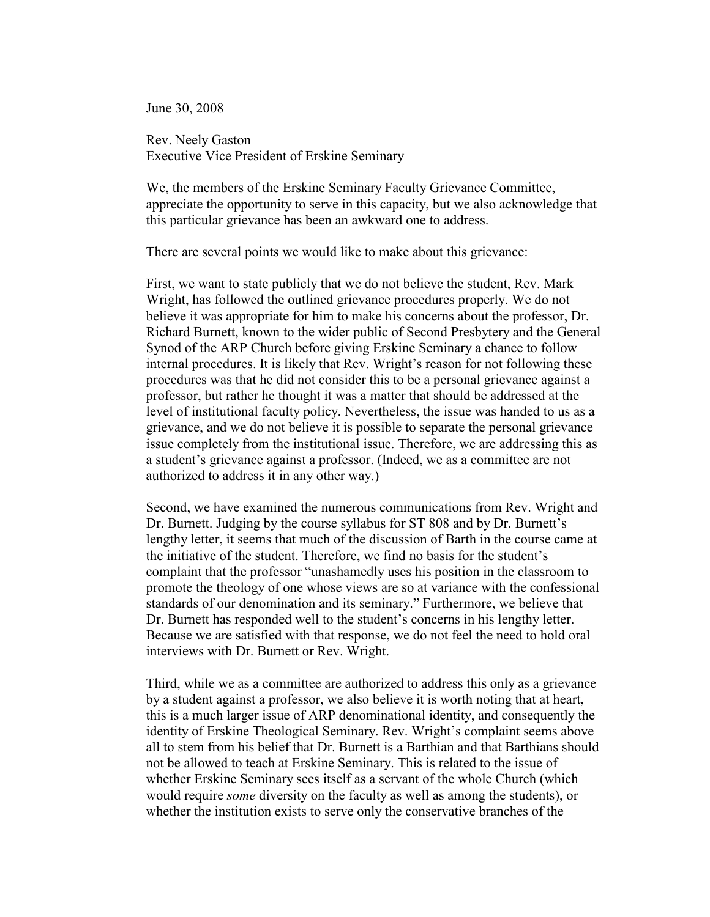June 30, 2008

Rev. Neely Gaston Executive Vice President of Erskine Seminary

We, the members of the Erskine Seminary Faculty Grievance Committee, appreciate the opportunity to serve in this capacity, but we also acknowledge that this particular grievance has been an awkward one to address.

There are several points we would like to make about this grievance:

First, we want to state publicly that we do not believe the student, Rev. Mark Wright, has followed the outlined grievance procedures properly. We do not believe it was appropriate for him to make his concerns about the professor, Dr. Richard Burnett, known to the wider public of Second Presbytery and the General Synod of the ARP Church before giving Erskine Seminary a chance to follow internal procedures. It is likely that Rev. Wright's reason for not following these procedures was that he did not consider this to be a personal grievance against a professor, but rather he thought it was a matter that should be addressed at the level of institutional faculty policy. Nevertheless, the issue was handed to us as a grievance, and we do not believe it is possible to separate the personal grievance issue completely from the institutional issue. Therefore, we are addressing this as a student's grievance against a professor. (Indeed, we as a committee are not authorized to address it in any other way.)

Second, we have examined the numerous communications from Rev. Wright and Dr. Burnett. Judging by the course syllabus for ST 808 and by Dr. Burnett's lengthy letter, it seems that much of the discussion of Barth in the course came at the initiative of the student. Therefore, we find no basis for the student's complaint that the professor "unashamedly uses his position in the classroom to promote the theology of one whose views are so at variance with the confessional standards of our denomination and its seminary." Furthermore, we believe that Dr. Burnett has responded well to the student's concerns in his lengthy letter. Because we are satisfied with that response, we do not feel the need to hold oral interviews with Dr. Burnett or Rev. Wright.

Third, while we as a committee are authorized to address this only as a grievance by a student against a professor, we also believe it is worth noting that at heart, this is a much larger issue of ARP denominational identity, and consequently the identity of Erskine Theological Seminary. Rev. Wright's complaint seems above all to stem from his belief that Dr. Burnett is a Barthian and that Barthians should not be allowed to teach at Erskine Seminary. This is related to the issue of whether Erskine Seminary sees itself as a servant of the whole Church (which would require *some* diversity on the faculty as well as among the students), or whether the institution exists to serve only the conservative branches of the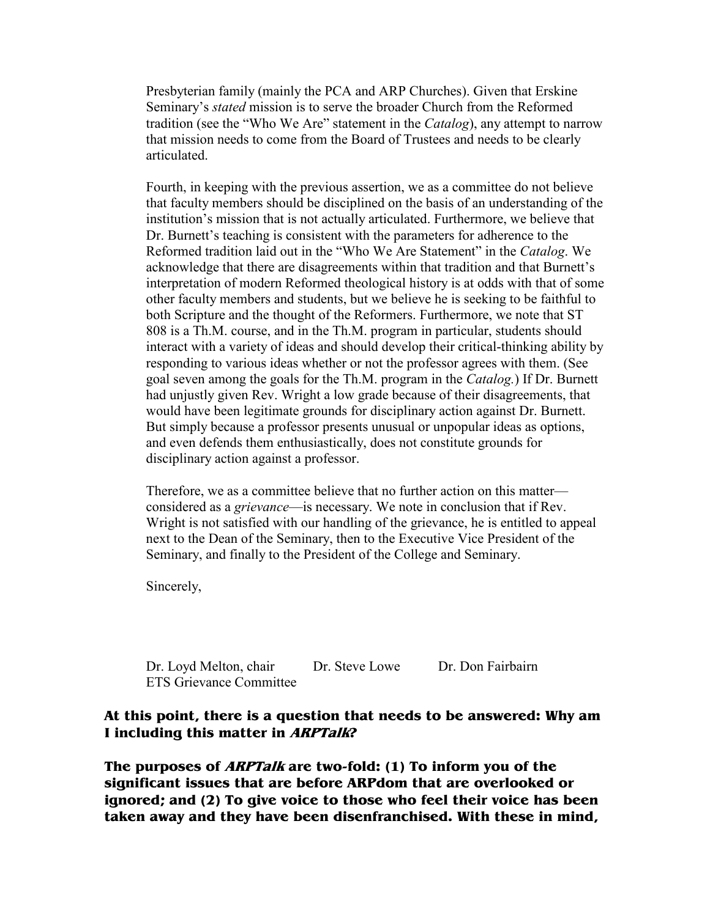Presbyterian family (mainly the PCA and ARP Churches). Given that Erskine Seminary's *stated* mission is to serve the broader Church from the Reformed tradition (see the "Who We Are" statement in the *Catalog*), any attempt to narrow that mission needs to come from the Board of Trustees and needs to be clearly articulated.

Fourth, in keeping with the previous assertion, we as a committee do not believe that faculty members should be disciplined on the basis of an understanding of the institution's mission that is not actually articulated. Furthermore, we believe that Dr. Burnett's teaching is consistent with the parameters for adherence to the Reformed tradition laid out in the "Who We Are Statement" in the *Catalog*. We acknowledge that there are disagreements within that tradition and that Burnett's interpretation of modern Reformed theological history is at odds with that of some other faculty members and students, but we believe he is seeking to be faithful to both Scripture and the thought of the Reformers. Furthermore, we note that ST 808 is a Th.M. course, and in the Th.M. program in particular, students should interact with a variety of ideas and should develop their critical-thinking ability by responding to various ideas whether or not the professor agrees with them. (See goal seven among the goals for the Th.M. program in the *Catalog.*) If Dr. Burnett had unjustly given Rev. Wright a low grade because of their disagreements, that would have been legitimate grounds for disciplinary action against Dr. Burnett. But simply because a professor presents unusual or unpopular ideas as options, and even defends them enthusiastically, does not constitute grounds for disciplinary action against a professor.

Therefore, we as a committee believe that no further action on this matter considered as a *grievance*—is necessary. We note in conclusion that if Rev. Wright is not satisfied with our handling of the grievance, he is entitled to appeal next to the Dean of the Seminary, then to the Executive Vice President of the Seminary, and finally to the President of the College and Seminary.

Sincerely,

Dr. Loyd Melton, chair Dr. Steve Lowe Dr. Don Fairbairn ETS Grievance Committee

## **At this point, there is a question that needs to be answered: Why am I including this matter in ARPTalk?**

**The purposes of ARPTalk are two-fold: (1) To inform you of the significant issues that are before ARPdom that are overlooked or ignored; and (2) To give voice to those who feel their voice has been taken away and they have been disenfranchised. With these in mind,**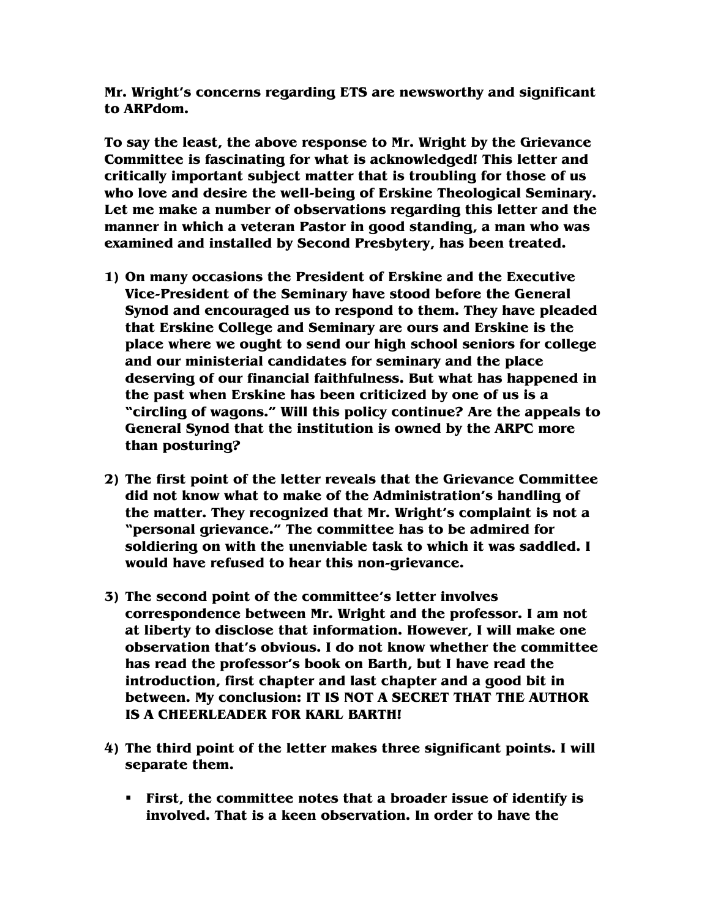**Mr. Wright's concerns regarding ETS are newsworthy and significant to ARPdom.** 

**To say the least, the above response to Mr. Wright by the Grievance Committee is fascinating for what is acknowledged! This letter and critically important subject matter that is troubling for those of us who love and desire the well-being of Erskine Theological Seminary. Let me make a number of observations regarding this letter and the manner in which a veteran Pastor in good standing, a man who was examined and installed by Second Presbytery, has been treated.** 

- **1) On many occasions the President of Erskine and the Executive Vice-President of the Seminary have stood before the General Synod and encouraged us to respond to them. They have pleaded that Erskine College and Seminary are ours and Erskine is the place where we ought to send our high school seniors for college and our ministerial candidates for seminary and the place deserving of our financial faithfulness. But what has happened in the past when Erskine has been criticized by one of us is a "circling of wagons." Will this policy continue? Are the appeals to General Synod that the institution is owned by the ARPC more than posturing?**
- **2) The first point of the letter reveals that the Grievance Committee did not know what to make of the Administration's handling of the matter. They recognized that Mr. Wright's complaint is not a "personal grievance." The committee has to be admired for soldiering on with the unenviable task to which it was saddled. I would have refused to hear this non-grievance.**
- **3) The second point of the committee's letter involves correspondence between Mr. Wright and the professor. I am not at liberty to disclose that information. However, I will make one observation that's obvious. I do not know whether the committee has read the professor's book on Barth, but I have read the introduction, first chapter and last chapter and a good bit in between. My conclusion: IT IS NOT A SECRET THAT THE AUTHOR IS A CHEERLEADER FOR KARL BARTH!**
- **4) The third point of the letter makes three significant points. I will separate them.** 
	- **First, the committee notes that a broader issue of identify is involved. That is a keen observation. In order to have the**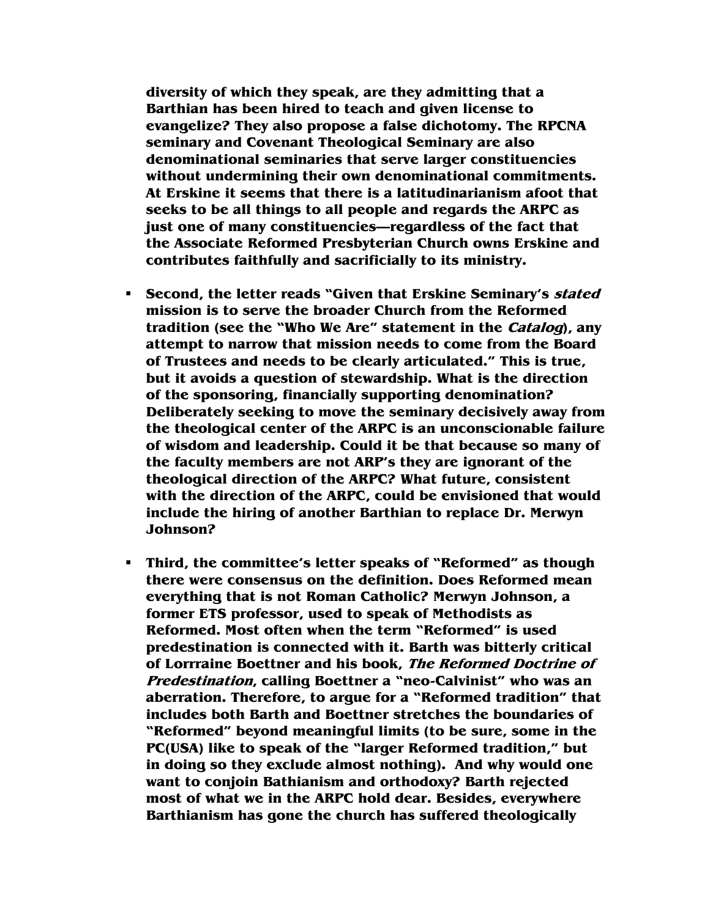**diversity of which they speak, are they admitting that a Barthian has been hired to teach and given license to evangelize? They also propose a false dichotomy. The RPCNA seminary and Covenant Theological Seminary are also denominational seminaries that serve larger constituencies without undermining their own denominational commitments. At Erskine it seems that there is a latitudinarianism afoot that seeks to be all things to all people and regards the ARPC as just one of many constituencies—regardless of the fact that the Associate Reformed Presbyterian Church owns Erskine and contributes faithfully and sacrificially to its ministry.** 

- **Second, the letter reads "Given that Erskine Seminary's stated mission is to serve the broader Church from the Reformed tradition (see the "Who We Are" statement in the Catalog), any attempt to narrow that mission needs to come from the Board of Trustees and needs to be clearly articulated." This is true, but it avoids a question of stewardship. What is the direction of the sponsoring, financially supporting denomination? Deliberately seeking to move the seminary decisively away from the theological center of the ARPC is an unconscionable failure of wisdom and leadership. Could it be that because so many of the faculty members are not ARP's they are ignorant of the theological direction of the ARPC? What future, consistent with the direction of the ARPC, could be envisioned that would include the hiring of another Barthian to replace Dr. Merwyn Johnson?**
- **Third, the committee's letter speaks of "Reformed" as though there were consensus on the definition. Does Reformed mean everything that is not Roman Catholic? Merwyn Johnson, a former ETS professor, used to speak of Methodists as Reformed. Most often when the term "Reformed" is used predestination is connected with it. Barth was bitterly critical of Lorrraine Boettner and his book, The Reformed Doctrine of Predestination, calling Boettner a "neo-Calvinist" who was an aberration. Therefore, to argue for a "Reformed tradition" that includes both Barth and Boettner stretches the boundaries of "Reformed" beyond meaningful limits (to be sure, some in the PC(USA) like to speak of the "larger Reformed tradition," but in doing so they exclude almost nothing). And why would one want to conjoin Bathianism and orthodoxy? Barth rejected most of what we in the ARPC hold dear. Besides, everywhere Barthianism has gone the church has suffered theologically**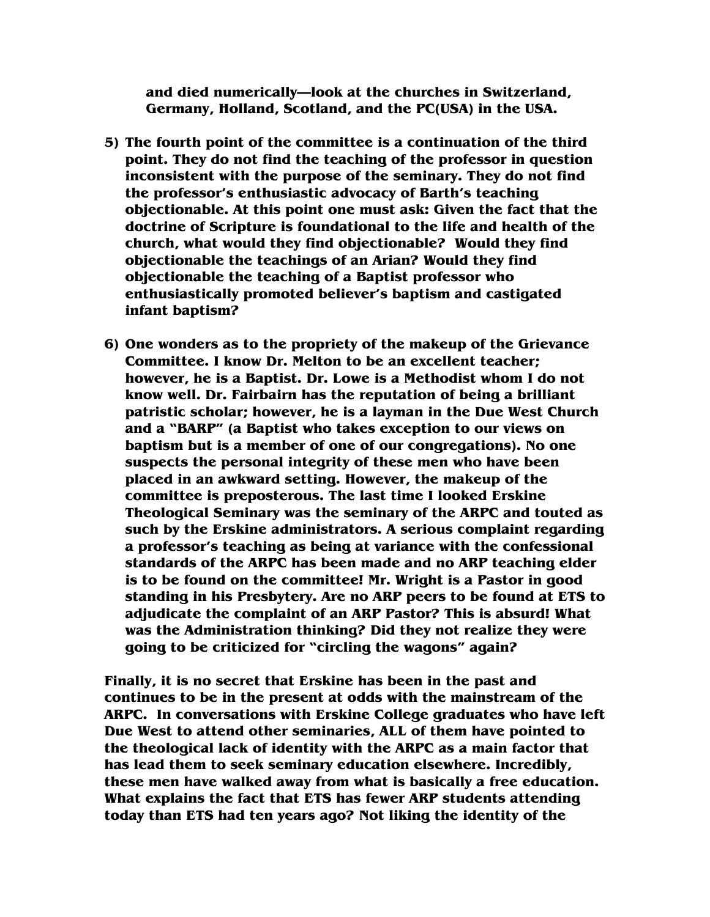**and died numerically—look at the churches in Switzerland, Germany, Holland, Scotland, and the PC(USA) in the USA.** 

- **5) The fourth point of the committee is a continuation of the third point. They do not find the teaching of the professor in question inconsistent with the purpose of the seminary. They do not find the professor's enthusiastic advocacy of Barth's teaching objectionable. At this point one must ask: Given the fact that the doctrine of Scripture is foundational to the life and health of the church, what would they find objectionable? Would they find objectionable the teachings of an Arian? Would they find objectionable the teaching of a Baptist professor who enthusiastically promoted believer's baptism and castigated infant baptism?**
- **6) One wonders as to the propriety of the makeup of the Grievance Committee. I know Dr. Melton to be an excellent teacher; however, he is a Baptist. Dr. Lowe is a Methodist whom I do not know well. Dr. Fairbairn has the reputation of being a brilliant patristic scholar; however, he is a layman in the Due West Church and a "BARP" (a Baptist who takes exception to our views on baptism but is a member of one of our congregations). No one suspects the personal integrity of these men who have been placed in an awkward setting. However, the makeup of the committee is preposterous. The last time I looked Erskine Theological Seminary was the seminary of the ARPC and touted as such by the Erskine administrators. A serious complaint regarding a professor's teaching as being at variance with the confessional standards of the ARPC has been made and no ARP teaching elder is to be found on the committee! Mr. Wright is a Pastor in good standing in his Presbytery. Are no ARP peers to be found at ETS to adjudicate the complaint of an ARP Pastor? This is absurd! What was the Administration thinking? Did they not realize they were going to be criticized for "circling the wagons" again?**

**Finally, it is no secret that Erskine has been in the past and continues to be in the present at odds with the mainstream of the ARPC. In conversations with Erskine College graduates who have left Due West to attend other seminaries, ALL of them have pointed to the theological lack of identity with the ARPC as a main factor that has lead them to seek seminary education elsewhere. Incredibly, these men have walked away from what is basically a free education. What explains the fact that ETS has fewer ARP students attending today than ETS had ten years ago? Not liking the identity of the**